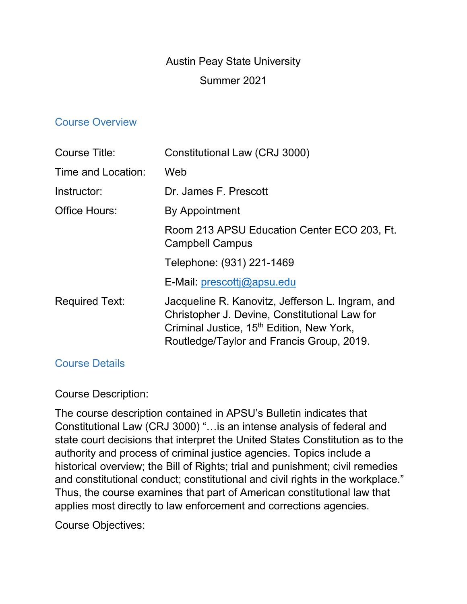# Austin Peay State University

### Summer 2021

### Course Overview

| Course Title:         | Constitutional Law (CRJ 3000)                                                                                                                                                                           |
|-----------------------|---------------------------------------------------------------------------------------------------------------------------------------------------------------------------------------------------------|
| Time and Location:    | Web                                                                                                                                                                                                     |
| Instructor:           | Dr. James F. Prescott                                                                                                                                                                                   |
| Office Hours:         | <b>By Appointment</b>                                                                                                                                                                                   |
|                       | Room 213 APSU Education Center ECO 203, Ft.<br><b>Campbell Campus</b>                                                                                                                                   |
|                       | Telephone: (931) 221-1469                                                                                                                                                                               |
|                       | E-Mail: prescottj@apsu.edu                                                                                                                                                                              |
| <b>Required Text:</b> | Jacqueline R. Kanovitz, Jefferson L. Ingram, and<br>Christopher J. Devine, Constitutional Law for<br>Criminal Justice, 15 <sup>th</sup> Edition, New York,<br>Routledge/Taylor and Francis Group, 2019. |

### Course Details

## Course Description:

The course description contained in APSU's Bulletin indicates that Constitutional Law (CRJ 3000) "…is an intense analysis of federal and state court decisions that interpret the United States Constitution as to the authority and process of criminal justice agencies. Topics include a historical overview; the Bill of Rights; trial and punishment; civil remedies and constitutional conduct; constitutional and civil rights in the workplace." Thus, the course examines that part of American constitutional law that applies most directly to law enforcement and corrections agencies.

Course Objectives: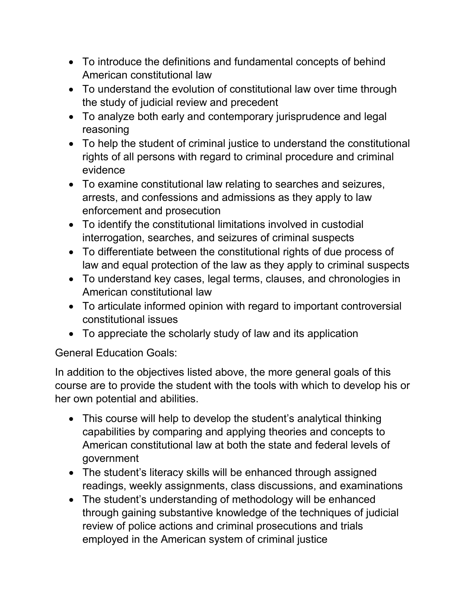- To introduce the definitions and fundamental concepts of behind American constitutional law
- To understand the evolution of constitutional law over time through the study of judicial review and precedent
- To analyze both early and contemporary jurisprudence and legal reasoning
- To help the student of criminal justice to understand the constitutional rights of all persons with regard to criminal procedure and criminal evidence
- To examine constitutional law relating to searches and seizures, arrests, and confessions and admissions as they apply to law enforcement and prosecution
- To identify the constitutional limitations involved in custodial interrogation, searches, and seizures of criminal suspects
- To differentiate between the constitutional rights of due process of law and equal protection of the law as they apply to criminal suspects
- To understand key cases, legal terms, clauses, and chronologies in American constitutional law
- To articulate informed opinion with regard to important controversial constitutional issues
- To appreciate the scholarly study of law and its application

General Education Goals:

In addition to the objectives listed above, the more general goals of this course are to provide the student with the tools with which to develop his or her own potential and abilities.

- This course will help to develop the student's analytical thinking capabilities by comparing and applying theories and concepts to American constitutional law at both the state and federal levels of government
- The student's literacy skills will be enhanced through assigned readings, weekly assignments, class discussions, and examinations
- The student's understanding of methodology will be enhanced through gaining substantive knowledge of the techniques of judicial review of police actions and criminal prosecutions and trials employed in the American system of criminal justice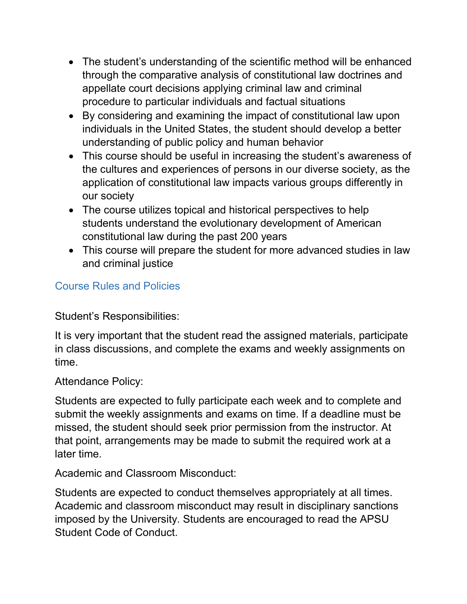- The student's understanding of the scientific method will be enhanced through the comparative analysis of constitutional law doctrines and appellate court decisions applying criminal law and criminal procedure to particular individuals and factual situations
- By considering and examining the impact of constitutional law upon individuals in the United States, the student should develop a better understanding of public policy and human behavior
- This course should be useful in increasing the student's awareness of the cultures and experiences of persons in our diverse society, as the application of constitutional law impacts various groups differently in our society
- The course utilizes topical and historical perspectives to help students understand the evolutionary development of American constitutional law during the past 200 years
- This course will prepare the student for more advanced studies in law and criminal justice

# Course Rules and Policies

Student's Responsibilities:

It is very important that the student read the assigned materials, participate in class discussions, and complete the exams and weekly assignments on time.

Attendance Policy:

Students are expected to fully participate each week and to complete and submit the weekly assignments and exams on time. If a deadline must be missed, the student should seek prior permission from the instructor. At that point, arrangements may be made to submit the required work at a later time.

Academic and Classroom Misconduct:

Students are expected to conduct themselves appropriately at all times. Academic and classroom misconduct may result in disciplinary sanctions imposed by the University. Students are encouraged to read the APSU Student Code of Conduct.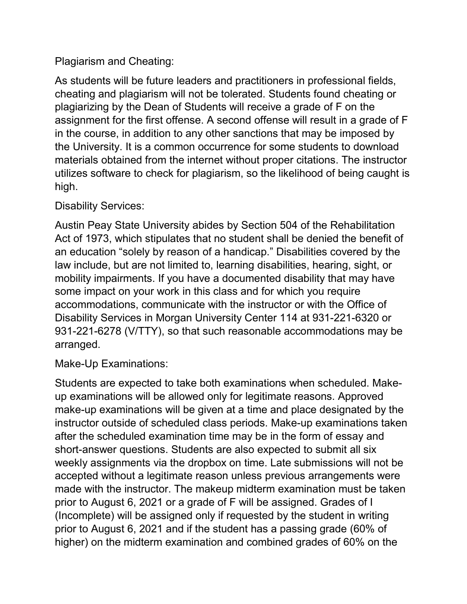# Plagiarism and Cheating:

As students will be future leaders and practitioners in professional fields, cheating and plagiarism will not be tolerated. Students found cheating or plagiarizing by the Dean of Students will receive a grade of F on the assignment for the first offense. A second offense will result in a grade of F in the course, in addition to any other sanctions that may be imposed by the University. It is a common occurrence for some students to download materials obtained from the internet without proper citations. The instructor utilizes software to check for plagiarism, so the likelihood of being caught is high.

## Disability Services:

Austin Peay State University abides by Section 504 of the Rehabilitation Act of 1973, which stipulates that no student shall be denied the benefit of an education "solely by reason of a handicap." Disabilities covered by the law include, but are not limited to, learning disabilities, hearing, sight, or mobility impairments. If you have a documented disability that may have some impact on your work in this class and for which you require accommodations, communicate with the instructor or with the Office of Disability Services in Morgan University Center 114 at 931-221-6320 or 931-221-6278 (V/TTY), so that such reasonable accommodations may be arranged.

Make-Up Examinations:

Students are expected to take both examinations when scheduled. Makeup examinations will be allowed only for legitimate reasons. Approved make-up examinations will be given at a time and place designated by the instructor outside of scheduled class periods. Make-up examinations taken after the scheduled examination time may be in the form of essay and short-answer questions. Students are also expected to submit all six weekly assignments via the dropbox on time. Late submissions will not be accepted without a legitimate reason unless previous arrangements were made with the instructor. The makeup midterm examination must be taken prior to August 6, 2021 or a grade of F will be assigned. Grades of I (Incomplete) will be assigned only if requested by the student in writing prior to August 6, 2021 and if the student has a passing grade (60% of higher) on the midterm examination and combined grades of 60% on the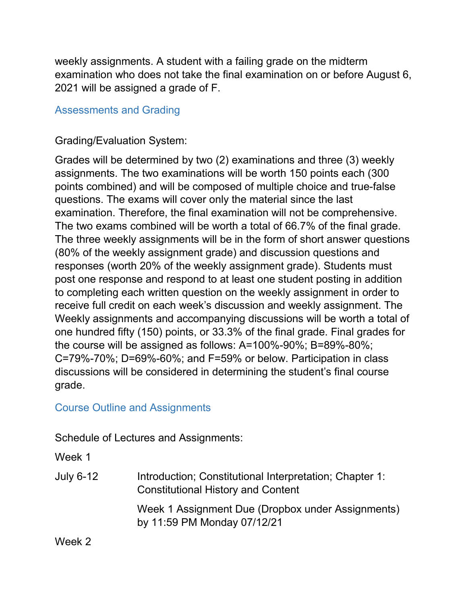weekly assignments. A student with a failing grade on the midterm examination who does not take the final examination on or before August 6, 2021 will be assigned a grade of F.

# Assessments and Grading

Grading/Evaluation System:

Grades will be determined by two (2) examinations and three (3) weekly assignments. The two examinations will be worth 150 points each (300 points combined) and will be composed of multiple choice and true-false questions. The exams will cover only the material since the last examination. Therefore, the final examination will not be comprehensive. The two exams combined will be worth a total of 66.7% of the final grade. The three weekly assignments will be in the form of short answer questions (80% of the weekly assignment grade) and discussion questions and responses (worth 20% of the weekly assignment grade). Students must post one response and respond to at least one student posting in addition to completing each written question on the weekly assignment in order to receive full credit on each week's discussion and weekly assignment. The Weekly assignments and accompanying discussions will be worth a total of one hundred fifty (150) points, or 33.3% of the final grade. Final grades for the course will be assigned as follows: A=100%-90%; B=89%-80%; C=79%-70%; D=69%-60%; and F=59% or below. Participation in class discussions will be considered in determining the student's final course grade.

# Course Outline and Assignments

Schedule of Lectures and Assignments:

Week 1

July 6-12 Introduction; Constitutional Interpretation; Chapter 1: Constitutional History and Content Week 1 Assignment Due (Dropbox under Assignments) by 11:59 PM Monday 07/12/21

Week 2